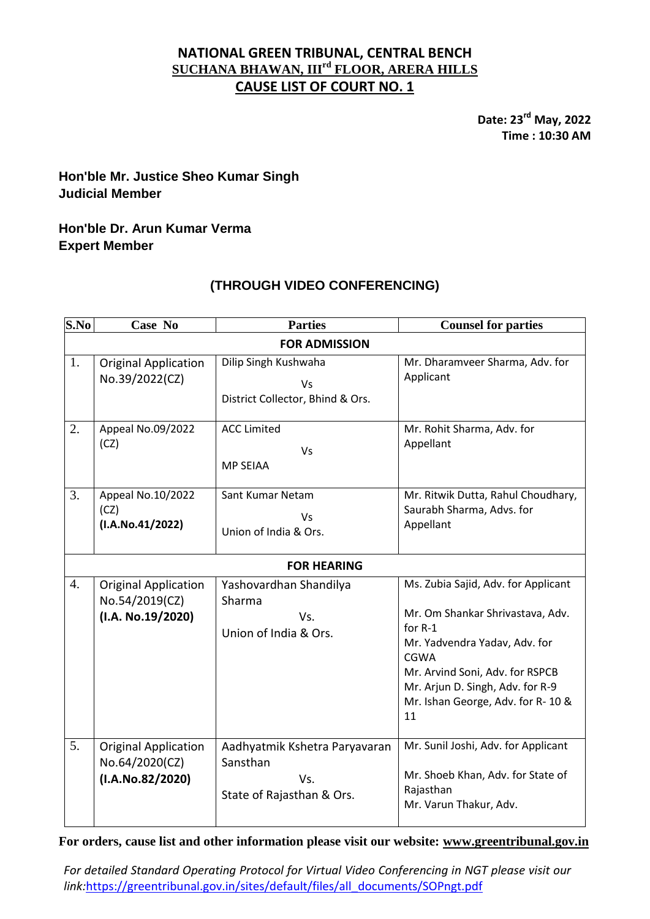### **NATIONAL GREEN TRIBUNAL, CENTRAL BENCH SUCHANA BHAWAN, IIIrd FLOOR, ARERA HILLS CAUSE LIST OF COURT NO. 1**

**Date: 23 rd May, 2022 Time : 10:30 AM**

## **Hon'ble Mr. Justice Sheo Kumar Singh Judicial Member**

### **Hon'ble Dr. Arun Kumar Verma Expert Member**

# **(THROUGH VIDEO CONFERENCING)**

| S.No                 | Case No                                                            | <b>Parties</b>                                                                | <b>Counsel for parties</b>                                                                                                                                                                                                                           |  |
|----------------------|--------------------------------------------------------------------|-------------------------------------------------------------------------------|------------------------------------------------------------------------------------------------------------------------------------------------------------------------------------------------------------------------------------------------------|--|
| <b>FOR ADMISSION</b> |                                                                    |                                                                               |                                                                                                                                                                                                                                                      |  |
| 1.                   | <b>Original Application</b><br>No.39/2022(CZ)                      | Dilip Singh Kushwaha<br>Vs<br>District Collector, Bhind & Ors.                | Mr. Dharamveer Sharma, Adv. for<br>Applicant                                                                                                                                                                                                         |  |
| 2.                   | Appeal No.09/2022<br>(CZ)                                          | <b>ACC Limited</b><br>Vs<br><b>MP SEIAA</b>                                   | Mr. Rohit Sharma, Adv. for<br>Appellant                                                                                                                                                                                                              |  |
| 3.                   | Appeal No.10/2022<br>(CZ)<br>(I.A.No.41/2022)                      | Sant Kumar Netam<br>Vs<br>Union of India & Ors.                               | Mr. Ritwik Dutta, Rahul Choudhary,<br>Saurabh Sharma, Advs. for<br>Appellant                                                                                                                                                                         |  |
| <b>FOR HEARING</b>   |                                                                    |                                                                               |                                                                                                                                                                                                                                                      |  |
| 4.                   | <b>Original Application</b><br>No.54/2019(CZ)<br>(I.A. No.19/2020) | Yashovardhan Shandilya<br>Sharma<br>Vs.<br>Union of India & Ors.              | Ms. Zubia Sajid, Adv. for Applicant<br>Mr. Om Shankar Shrivastava, Adv.<br>for R-1<br>Mr. Yadvendra Yadav, Adv. for<br><b>CGWA</b><br>Mr. Arvind Soni, Adv. for RSPCB<br>Mr. Arjun D. Singh, Adv. for R-9<br>Mr. Ishan George, Adv. for R-10 &<br>11 |  |
| 5.                   | <b>Original Application</b><br>No.64/2020(CZ)<br>(I.A.No.82/2020)  | Aadhyatmik Kshetra Paryavaran<br>Sansthan<br>Vs.<br>State of Rajasthan & Ors. | Mr. Sunil Joshi, Adv. for Applicant<br>Mr. Shoeb Khan, Adv. for State of<br>Rajasthan<br>Mr. Varun Thakur, Adv.                                                                                                                                      |  |

**For orders, cause list and other information please visit our website: [www.greentribunal.gov.in](http://www.greentribunal.gov.in/)**

*For detailed Standard Operating Protocol for Virtual Video Conferencing in NGT please visit our link:*[https://greentribunal.gov.in/sites/default/files/all\\_documents/SOPngt.pdf](https://greentribunal.gov.in/sites/default/files/all_documents/SOPngt.pdf)